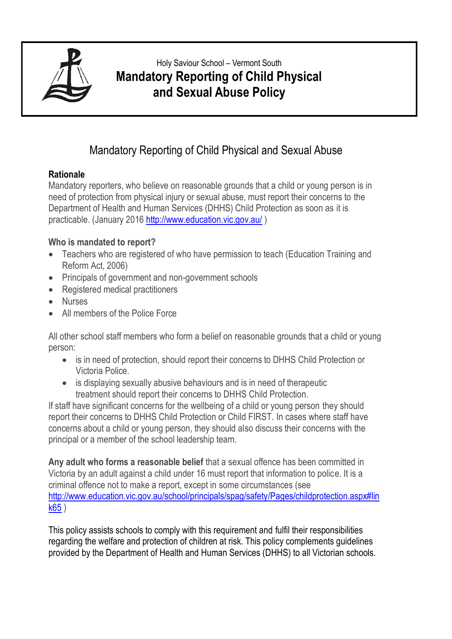

# Holy Saviour School – Vermont South **Mandatory Reporting of Child Physical and Sexual Abuse Policy**

# Mandatory Reporting of Child Physical and Sexual Abuse

## **Rationale**

Mandatory reporters, who believe on reasonable grounds that a child or young person is in need of protection from physical injury or sexual abuse, must report their concerns to the Department of Health and Human Services (DHHS) Child Protection as soon as it is practicable. (January 2016<http://www.education.vic.gov.au/> )

# **Who is mandated to report?**

- Teachers who are registered of who have permission to teach (Education Training and Reform Act, 2006)
- Principals of government and non-government schools
- Registered medical practitioners
- Nurses
- All members of the Police Force

All other school staff members who form a belief on reasonable grounds that a child or young person:

- is in need of protection, should report their concerns to DHHS Child Protection or Victoria Police.
- is displaying sexually abusive behaviours and is in need of therapeutic treatment should report their concerns to DHHS Child Protection.

If staff have significant concerns for the wellbeing of a child or young person they should report their concerns to DHHS Child Protection or Child FIRST. In cases where staff have concerns about a child or young person, they should also discuss their concerns with the principal or a member of the school leadership team.

**Any adult who forms a reasonable belief** that a sexual offence has been committed in Victoria by an adult against a child under 16 must report that information to police. It is a criminal offence not to make a report, except in some circumstances (see [http://www.education.vic.gov.au/school/principals/spag/safety/Pages/childprotection.aspx#lin](http://www.education.vic.gov.au/school/principals/spag/safety/Pages/childprotection.aspx#link65) [k65](http://www.education.vic.gov.au/school/principals/spag/safety/Pages/childprotection.aspx#link65) )

This policy assists schools to comply with this requirement and fulfil their responsibilities regarding the welfare and protection of children at risk. This policy complements guidelines provided by the Department of Health and Human Services (DHHS) to all Victorian schools.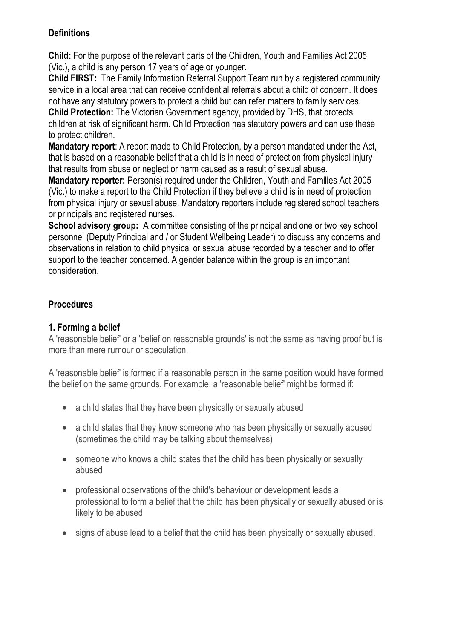## **Definitions**

**Child:** For the purpose of the relevant parts of the Children, Youth and Families Act 2005 (Vic.), a child is any person 17 years of age or younger.

**Child FIRST:** The Family Information Referral Support Team run by a registered community service in a local area that can receive confidential referrals about a child of concern. It does not have any statutory powers to protect a child but can refer matters to family services.

**Child Protection:** The Victorian Government agency, provided by DHS, that protects children at risk of significant harm. Child Protection has statutory powers and can use these to protect children.

**Mandatory report**: A report made to Child Protection, by a person mandated under the Act, that is based on a reasonable belief that a child is in need of protection from physical injury that results from abuse or neglect or harm caused as a result of sexual abuse.

**Mandatory reporter:** Person(s) required under the Children, Youth and Families Act 2005 (Vic.) to make a report to the Child Protection if they believe a child is in need of protection from physical injury or sexual abuse. Mandatory reporters include registered school teachers or principals and registered nurses.

**School advisory group:** A committee consisting of the principal and one or two key school personnel (Deputy Principal and / or Student Wellbeing Leader) to discuss any concerns and observations in relation to child physical or sexual abuse recorded by a teacher and to offer support to the teacher concerned. A gender balance within the group is an important consideration.

# **Procedures**

# **1. Forming a belief**

A 'reasonable belief' or a 'belief on reasonable grounds' is not the same as having proof but is more than mere rumour or speculation.

A 'reasonable belief' is formed if a reasonable person in the same position would have formed the belief on the same grounds. For example, a 'reasonable belief' might be formed if:

- a child states that they have been physically or sexually abused
- a child states that they know someone who has been physically or sexually abused (sometimes the child may be talking about themselves)
- someone who knows a child states that the child has been physically or sexually abused
- professional observations of the child's behaviour or development leads a professional to form a belief that the child has been physically or sexually abused or is likely to be abused
- signs of abuse lead to a belief that the child has been physically or sexually abused.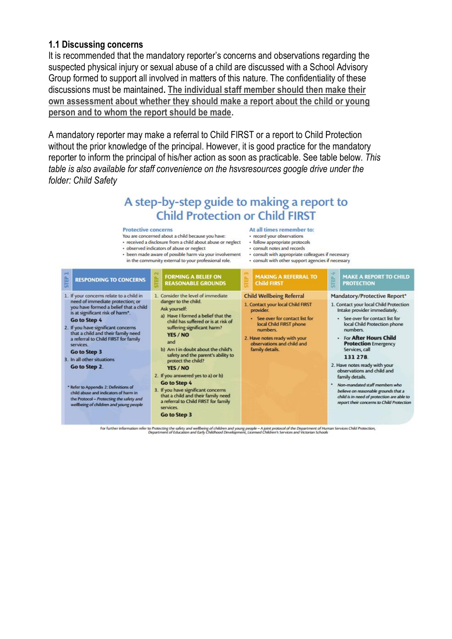### **1.1 Discussing concerns**

It is recommended that the mandatory reporter's concerns and observations regarding the suspected physical injury or sexual abuse of a child are discussed with a School Advisory Group formed to support all involved in matters of this nature. The confidentiality of these discussions must be maintained**. The individual staff member should then make their own assessment about whether they should make a report about the child or young person and to whom the report should be made.**

A mandatory reporter may make a referral to Child FIRST or a report to Child Protection without the prior knowledge of the principal. However, it is good practice for the mandatory reporter to inform the principal of his/her action as soon as practicable. See table below. *This table is also available for staff convenience on the hsvsresources google drive under the folder: Child Safety*

# A step-by-step guide to making a report to **Child Protection or Child FIRST**

#### **Protective concerns** You are concerned about a child because you have:

· observed indicators of abuse or neelect

· been made aware of possible harm via your involvement

- At all times remember to
- · record your observations
- received a disclosure from a child about abuse or neglect follow appropriate protocols
	- · consult notes and records
	- · consult with appropriate colleagues if necessary · consult with other support agencies if necessary



For further information refer to Protecting the safety and wellbeing of children and young people - A joint protocol of the Department of Human Services Child Protection,<br>Department of Education and Early Childhood Develop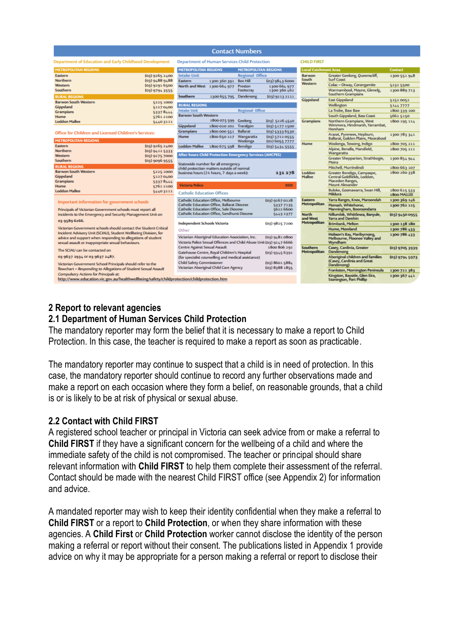| <b>Contact Numbers</b>                                                                                             |                                                                                                       |                                  |                             |                                                                  |                |
|--------------------------------------------------------------------------------------------------------------------|-------------------------------------------------------------------------------------------------------|----------------------------------|-----------------------------|------------------------------------------------------------------|----------------|
| Department of Education and Early Childhood Development                                                            | <b>Department of Human Services Child Protection</b>                                                  |                                  | <b>CHILD FIRST</b>          |                                                                  |                |
| <b>METROPOLITAN REGIONS</b>                                                                                        | <b>METROPOLITAN REGIONS</b>                                                                           | <b>METROPOLITAN REGIONS</b>      | <b>Local Catchment Area</b> |                                                                  | <b>Contact</b> |
| Eastern<br>$(03)$ 9265 2400                                                                                        | <b>Intake Unit</b><br><b>Regional Office</b>                                                          |                                  | <b>Barwon</b>               | Greater Geelong, Queenscliff,                                    | 1300 551 948   |
| <b>Northern</b><br>(03)94889488                                                                                    | <b>Box Hill</b><br>Eastern<br>1300 360 391                                                            | (03)98436000                     | South<br>Western            | <b>Surf Coast</b>                                                |                |
| Western<br>(03)92916500                                                                                            | North and West 1300 664 977<br>Preston                                                                | 1300 664 977                     |                             | Colac - Otway, Corangamite                                       | 5232 5500      |
| Southern<br>$(03)$ 9794 3555<br><b>RURAL REGIONS</b>                                                               | Footscray<br>Southern<br>1300 655 795 Dandenong                                                       | 1300 360 462<br>$(03)$ 9213 2111 |                             | Warrnambool, Moyne, Glenelg,<br><b>Southern Grampians</b>        | 1300 889 713   |
| <b>Barwon South Western</b><br>52251000                                                                            |                                                                                                       |                                  | Gippsland                   | <b>East Gippsland</b>                                            | 51520052       |
| Gippsland<br>51270400                                                                                              | <b>RURAL REGIONS</b>                                                                                  |                                  |                             | Wellington                                                       | 51447777       |
| <b>Grampians</b><br>53378444                                                                                       | <b>Regional Office</b><br><b>Intake Unit</b>                                                          |                                  |                             | La Trobe, Baw Baw                                                | 1800 339 100   |
| Hume<br>57612100                                                                                                   | <b>Barwon South Western</b>                                                                           |                                  |                             | South Gippsland, Bass Coast                                      | 5662 5150      |
| <b>Loddon Mallee</b><br>54403111                                                                                   | 1800 075 599 Geelong                                                                                  | (03) 5226 4540                   | Grampians                   | Northern Grampians, West                                         | 1800 195 114   |
|                                                                                                                    | Gippsland<br>Traralgon<br>1800 020 202                                                                | (03) 5177 2500                   |                             | Wimmera, Hindmarsh, Yarrambat,                                   |                |
| Office for Children and Licensed Children's Services:                                                              | <b>Ballarat</b><br><b>Grampians</b><br>1800 000 551                                                   | (03) 5333 6530                   |                             | Horsham                                                          |                |
|                                                                                                                    | Hume<br>1800 650 227 Wangaratta                                                                       | (03) 5722 0555                   |                             | Ararat, Pyrenees, Hepburn,<br>Ballarat, Golden Plains, Moorabool | 1300 783 341   |
| <b>METROPOLITAN REGIONS</b>                                                                                        | Wodonga                                                                                               | (02) 6055 7777                   | Hume                        | Wodonga, Towong, Indigo                                          | 1800 705 211   |
| Eastern<br>$(03)$ 9265 2400                                                                                        | <b>Loddon Mallee</b><br>1800 675 598 Bendigo                                                          | (03) 5434 5555                   |                             | Alpine, Benalla, Mansfield,                                      | 1800 705 211   |
| <b>Northern</b><br>$(03)$ 9412 5333                                                                                | <b>After hours Child Protection Emergency Services (AHCPES)</b><br>Statewide number for all emergency |                                  |                             | Wangaratta                                                       |                |
| (03) 9275 7000<br>Western<br>Southern<br>$(03)$ 9096 9555                                                          |                                                                                                       |                                  |                             | Greater Shepparton, Strathbogie,<br>Moira                        | 1300 854 944   |
| <b>RURAL REGIONS</b>                                                                                               | child protection matters outside of normal                                                            |                                  |                             | Mitchell, Murrindindi                                            | 1800 663 107   |
| <b>Barwon South Western</b><br>5225 1000                                                                           | business hours (24 hours, 7 days a week):                                                             | 131 278                          | Loddon                      | Greater Bendigo, Campaspe,                                       | 1800 260 338   |
| Gippsland<br>51270400                                                                                              |                                                                                                       |                                  | <b>Mallee</b>               | Central Goldfields, Loddon,                                      |                |
| <b>Grampians</b><br>53378444                                                                                       | <b>Victoria Police</b>                                                                                | 000                              |                             | Macedon Ranges,<br><b>Mount Alexander</b>                        |                |
| <b>Hume</b><br>57612100<br><b>Loddon Mallee</b>                                                                    |                                                                                                       |                                  |                             | Buloke, Goonawarra, Swan Hill,                                   | 1800 625 533   |
| 54403111                                                                                                           | <b>Catholic Education Offices</b>                                                                     |                                  |                             | Mildura                                                          | 1800 MALLEE    |
| Important information for government schools                                                                       | <b>Catholic Education Office, Melbourne</b>                                                           | $(03)$ 9267 0228                 | Eastern                     | Yarra Ranges, Knox, Maroondah                                    | 1300 369 146   |
|                                                                                                                    | <b>Catholic Education Office, Ballarat Diocese</b>                                                    | 53377135                         | Metropolitan                | Monash. Whitehorse.                                              | 1300 762 125   |
| Principals of Victorian Government schools must report all                                                         | <b>Catholic Education Office, Sale Diocese</b><br>Catholic Education Office, Sandhurst Diocese        | 5622 6600<br>54432377            | <b>North</b>                | Manningham, Booroondarra<br>Nillumbik, Whittlesea, Banyule,      |                |
| incidents to the Emergency and Security Management Unit on<br>03 9589 6266.                                        |                                                                                                       |                                  | and West                    | Yarra and Darebin                                                | (03) 9450 0955 |
|                                                                                                                    | <b>Independent Schools Victoria</b>                                                                   | (03) 9825 7200                   | Metropolitan                | <b>Brimbank, Melton</b>                                          | 1300 138 180   |
| Victorian Government schools should contact the Student Critical                                                   | Other                                                                                                 |                                  |                             | Hume, Moreland                                                   | 1300 786 433   |
| Incident Advisory Unit (SCIAU), Student Wellbeing Division, for                                                    | Victorian Aboriginal Education Association, Inc.                                                      | (03)94810800                     |                             | Hobson's Bay, Maribyrnong,                                       | 1300 786 433   |
| advice and support when responding to allegations of student<br>sexual assault or inappropriate sexual behaviours. | Victoria Police Sexual Offences and Child Abuse Unit (03) 9247 6666                                   |                                  |                             | Melbourne, Moonee Valley and<br><b>Wyndham</b>                   |                |
|                                                                                                                    | <b>Centre Against Sexual Assault</b>                                                                  | 1800 806 292                     | Southern                    | Casey, Cardinia, Greater                                         | (03) 9705 3939 |
| The SCIAU can be contacted on                                                                                      | Gatehouse Centre, Royal Children's Hospital                                                           | $(03)$ 9345 6391                 | Metropolitan                | Dandenong                                                        |                |
| 03 9637 2934 OF 03 9637 2487.                                                                                      | (for specialist counselling and medical assistance)                                                   |                                  |                             | Aboriginal children and families                                 | (03) 9794 5973 |
| Victorian Government School Principals should refer to the                                                         | <b>Child Safety Commissioner</b>                                                                      | (03) 8601 5884                   |                             | (Casey, Cardinia and Great                                       |                |
| flowchart - Responding to Allegations of Student Sexual Assault                                                    | Victorian Aboriginal Child Care Agency                                                                | (03) 8388 1855                   |                             | Dandenong)                                                       |                |
| Compulsory Actions for Principals at:                                                                              |                                                                                                       |                                  |                             | Frankston, Mornington Peninsula                                  | 1300 721 383   |
| http://www.education.vic.gov.au/healthwellbeing/safety/childprotection/childprotection.htm                         |                                                                                                       |                                  |                             | Kingston, Bayside, Glen Eira,<br>Stonington, Port Phillip        | 1300 367 441   |

## **2 Report to relevant agencies**

### **2.1 Department of Human Services Child Protection**

The mandatory reporter may form the belief that it is necessary to make a report to Child Protection. In this case, the teacher is required to make a report as soon as practicable.

The mandatory reporter may continue to suspect that a child is in need of protection. In this case, the mandatory reporter should continue to record any further observations made and make a report on each occasion where they form a belief, on reasonable grounds, that a child is or is likely to be at risk of physical or sexual abuse.

### **2.2 Contact with Child FIRST**

A registered school teacher or principal in Victoria can seek advice from or make a referral to **Child FIRST** if they have a significant concern for the wellbeing of a child and where the immediate safety of the child is not compromised. The teacher or principal should share relevant information with **Child FIRST** to help them complete their assessment of the referral. Contact should be made with the nearest Child FIRST office (see Appendix 2) for information and advice.

A mandated reporter may wish to keep their identity confidential when they make a referral to **Child FIRST** or a report to **Child Protection**, or when they share information with these agencies. A **Child First** or **Child Protection** worker cannot disclose the identity of the person making a referral or report without their consent. The publications listed in Appendix 1 provide advice on why it may be appropriate for a person making a referral or report to disclose their